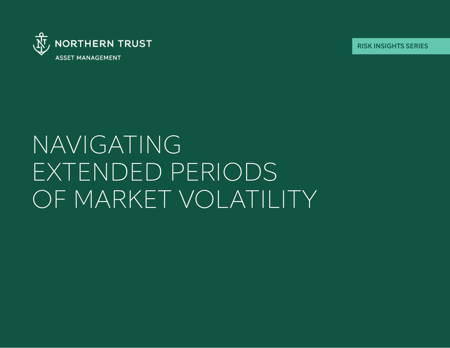

RISK INSIGHTS SERIES

# NAVIGATING EXTENDED PERIODS OF MARKET VOLATILITY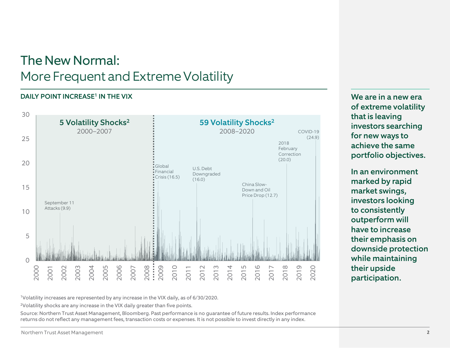### The New Normal: More Frequent and Extreme Volatility

#### DAILY POINT INCREASE<sup>1</sup> IN THE VIX



We are in a new era of extreme volatility that is leaving investors searching for new ways to achieve the same portfolio objectives.

In an environment marked by rapid market swings, investors looking to consistently outperform will have to increase their emphasis on downside protection while maintaining their upside participation.

1Volatility increases are represented by any increase in the VIX daily, as of 6/30/2020.

2Volatility shocks are any increase in the VIX daily greater than five points.

Source: Northern Trust Asset Management, Bloomberg. Past performance is no guarantee of future results. Index performance returns do not reflect any management fees, transaction costs or expenses. It is not possible to invest directly in any index.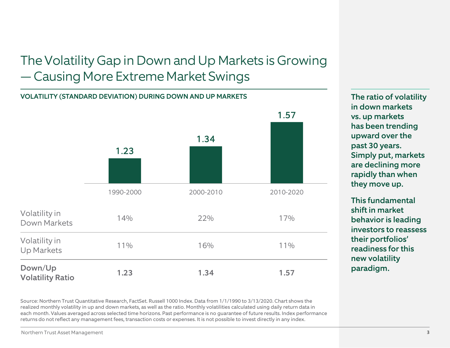### The Volatility Gap in Down and Up Markets is Growing — Causing More Extreme Market Swings

### VOLATILITY (STANDARD DEVIATION) DURING DOWN AND UP MARKETS



Source: Northern Trust Quantitative Research, FactSet. Russell 1000 Index. Data from 1/1/1990 to 3/13/2020. Chart shows the realized monthly volatility in up and down markets, as well as the ratio. Monthly volatilities calculated using daily return data in each month. Values averaged across selected time horizons. Past performance is no guarantee of future results. Index performance returns do not reflect any management fees, transaction costs or expenses. It is not possible to invest directly in any index.

The ratio of volatility in down markets vs. up markets has been trending upward over the past 30 years. Simply put, markets are declining more rapidly than when they move up.

This fundamental shift in market behavior is leading investors to reassess their portfolios' readiness for this new volatility paradigm.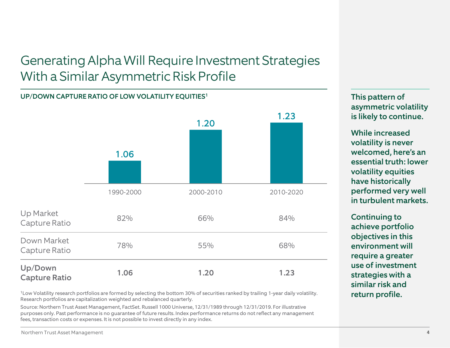### Generating Alpha Will Require Investment Strategies With a Similar Asymmetric Risk Profile

## 1.06 1.20 1.23 1990-2000 2000-2010 2010-2020 UP/DOWN CAPTURE RATIO OF LOW VOLATILITY EQUITIES1 Up Market Capture Ratio 82% 66% 84% Down Market Capture Ratio 78% 55% 68% Up/Down Capture Ratio 1.06 1.20 1.23

<sup>1</sup>Low Volatility research portfolios are formed by selecting the bottom 30% of securities ranked by trailing 1-year daily volatility.<br>
The analy volatility research portfolios are formed by selecting the bottom 30% of sec Research portfolios are capitalization weighted and rebalanced quarterly.

Source: Northern Trust Asset Management, FactSet. Russell 1000 Universe, 12/31/1989 through 12/31/2019. For illustrative purposes only. Past performance is no guarantee of future results. Index performance returns do not reflect any management fees, transaction costs or expenses. It is not possible to invest directly in any index.

This pattern of asymmetric volatility is likely to continue.

While increased volatility is never welcomed, here's an essential truth: lower volatility equities have historically performed very well in turbulent markets.

Continuing to achieve portfolio objectives in this environment will require a greater use of investment strategies with a similar risk and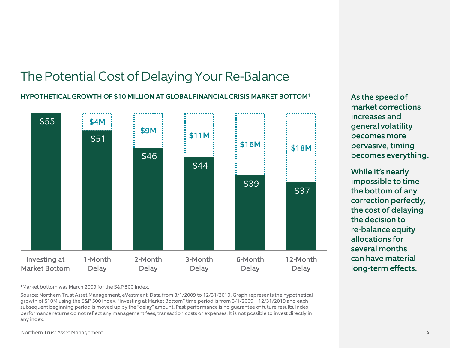### The Potential Cost of Delaying Your Re-Balance



As the speed of market corrections increases and general volatility becomes more pervasive, timing becomes everything.

While it's nearly impossible to time the bottom of any correction perfectly, the cost of delaying the decision to re-balance equity allocations for several months can have material long-term effects.

1Market bottom was March 2009 for the S&P 500 Index.

Source: Northern Trust Asset Management, eVestment. Data from 3/1/2009 to 12/31/2019. Graph represents the hypothetical growth of \$10M using the S&P 500 Index. "Investing at Market Bottom" time period is from 3/1/2009 – 12/31/2019 and each subsequent beginning period is moved up by the "delay" amount. Past performance is no guarantee of future results. Index performance returns do not reflect any management fees, transaction costs or expenses. It is not possible to invest directly in any index.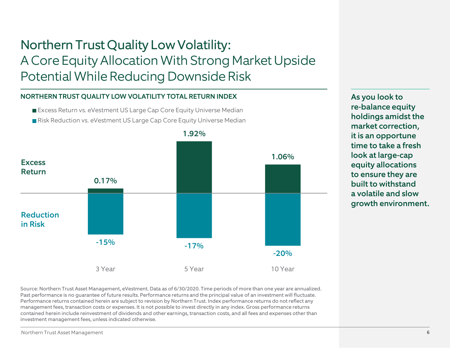### Northern Trust Quality Low Volatility: A Core Equity Allocation With Strong Market Upside Potential While Reducing Downside Risk

#### NORTHERN TRUST QUALITY LOW VOLATILITY TOTAL RETURN INDEX

■ Excess Return vs. eVestment US Large Cap Core Equity Universe Median Risk Reduction vs. eVestment US Large Cap Core Equity Universe Median



Source: Northern Trust Asset Management, eVestment. Data as of 6/30/2020. Time periods of more than one year are annualized. Past performance is no guarantee of future results. Performance returns and the principal value of an investment will fluctuate. Performance returns contained herein are subject to revision by Northern Trust. Index performance returns do not reflect any management fees, transaction costs or expenses. It is not possible to invest directly in any index. Gross performance returns contained herein include reinvestment of dividends and other earnings, transaction costs, and all fees and expenses other than investment management fees, unless indicated otherwise.

As you look to re-balance equity holdings amidst the market correction, it is an opportune time to take a fresh look at large-cap equity allocations to ensure they are built to withstand a volatile and slow growth environment.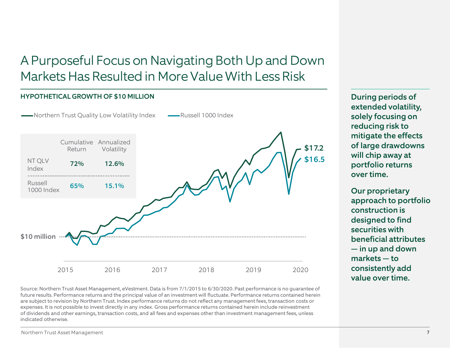### A Purposeful Focus on Navigating Both Up and Down Markets Has Resulted in More Value With Less Risk



Source: Northern Trust Asset Management, eVestment. Data is from 7/1/2015 to 6/30/2020. Past performance is no guarantee of future results. Performance returns and the principal value of an investment will fluctuate. Performance returns contained herein are subject to revision by Northern Trust. Index performance returns do not reflect any management fees, transaction costs or expenses. It is not possible to invest directly in any index. Gross performance returns contained herein include reinvestment of dividends and other earnings, transaction costs, and all fees and expenses other than investment management fees, unless indicated otherwise.

During periods of extended volatility, solely focusing on reducing risk to mitigate the effects of large drawdowns will chip away at portfolio returns over time.

Our proprietary approach to portfolio construction is designed to find securities with beneficial attributes — in up and down markets — to consistently add value over time.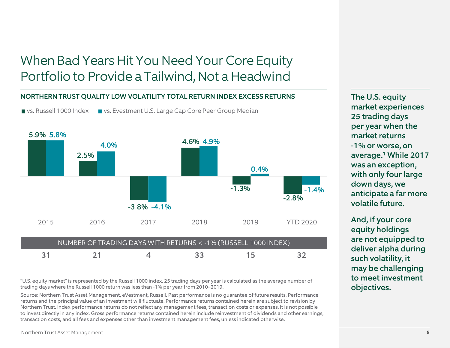### When Bad Years Hit You Need Your Core Equity Portfolio to Provide a Tailwind, Not a Headwind

#### NORTHERN TRUST QUALITY LOW VOLATILITY TOTAL RETURN INDEX EXCESS RETURNS

vs. Russell 1000 Index vs. Evestment U.S. Large Cap Core Peer Group Median



"U.S. equity market" is represented by the Russell 1000 index. 25 trading days per year is calculated as the average number of trading days where the Russell 1000 return was less than -1% per year from 2010–2019.

Source: Northern Trust Asset Management, eVestment, Russell. Past performance is no guarantee of future results. Performance returns and the principal value of an investment will fluctuate. Performance returns contained herein are subject to revision by Northern Trust. Index performance returns do not reflect any management fees, transaction costs or expenses. It is not possible to invest directly in any index. Gross performance returns contained herein include reinvestment of dividends and other earnings, transaction costs, and all fees and expenses other than investment management fees, unless indicated otherwise.

The U.S. equity market experiences 25 trading days per year when the market returns -1% or worse, on average.1 While 2017 was an exception, with only four large down days, we anticipate a far more volatile future.

And, if your core equity holdings are not equipped to deliver alpha during such volatility, it may be challenging to meet investment objectives.

Northern Trust Asset Management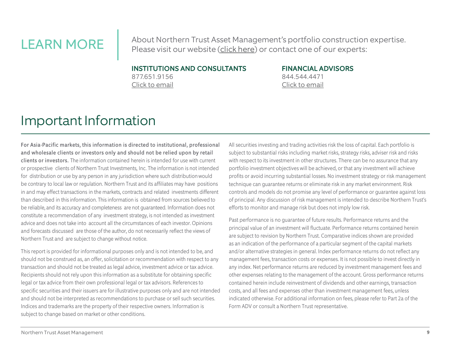LEARN MORE About Northern Trust Asset Management's portfolio construction expertise. Please visit our website [\(click here\)](https://www.northerntrust.com/united-states/what-we-do/investment-management/equity/quantitative) or contact one of our experts:

#### INSTITUTIONS AND CONSULTANTS

877.651.9156 [Click to email](mailto:Northern_Trust_Asset_Management_Service_Center@ntrs.com) 

#### FINANCIAL ADVISORS 844.544.4471 [Click to email](mailto:intermediaryservices@ntrs.com)

### Important Information

For Asia-Pacific markets, this information is directed to institutional, professional and wholesale clients or investors only and should not be relied upon by retail clients or investors. The information contained herein is intended for use with current or prospective clients of Northern Trust Investments, Inc. The information is not intended for distribution or use by any person in any jurisdiction where such distributionwould be contrary to local law or regulation. Northern Trust and its affiliates may have positions in and may effect transactions in the markets, contracts and related investments different than described in this information. This information is obtained from sources believed to be reliable, and its accuracy and completeness are not guaranteed. Information does not constitute a recommendation of any investment strategy, is not intended as investment advice and does not take into account all the circumstances of each investor. Opinions and forecasts discussed are those of the author, do not necessarily reflect the views of Northern Trust and are subject to change without notice.

This report is provided for informational purposes only and is not intended to be, and should not be construed as, an offer, solicitation or recommendation with respect to any transaction and should not be treated as legal advice, investment advice or tax advice. Recipients should not rely upon this information as a substitute for obtaining specific legal or tax advice from their own professional legal or tax advisors. References to specific securities and their issuers are for illustrative purposes only and are not intended and should not be interpreted as recommendations to purchase or sell such securities. Indices and trademarks are the property of their respective owners. Information is subject to change based on market or other conditions.

All securities investing and trading activities risk the loss of capital. Each portfolio is subject to substantial risks including market risks, strategy risks, adviser risk and risks with respect to its investment in other structures. There can be no assurance that any portfolio investment objectives will be achieved, or that any investment will achieve profits or avoid incurring substantial losses. No investment strategy or risk management technique can guarantee returns or eliminate risk in any market environment. Risk controls and models do not promise any level of performance or guarantee against loss of principal. Any discussion of risk management is intended to describe Northern Trust's efforts to monitor and manage risk but does not imply low risk.

Past performance is no guarantee of future results. Performance returns and the principal value of an investment will fluctuate. Performance returns contained herein are subject to revision by Northern Trust. Comparative indices shown are provided as an indication of the performance of a particular segment of the capital markets and/or alternative strategies in general. Index performance returns do not reflect any management fees, transaction costs or expenses. It is not possible to invest directly in any index. Net performance returns are reduced by investment management fees and other expenses relating to the management of the account. Gross performance returns contained herein include reinvestment of dividends and other earnings, transaction costs, and all fees and expenses other than investment management fees, unless indicated otherwise. For additional information on fees, please refer to Part 2a of the Form ADV or consult a Northern Trust representative.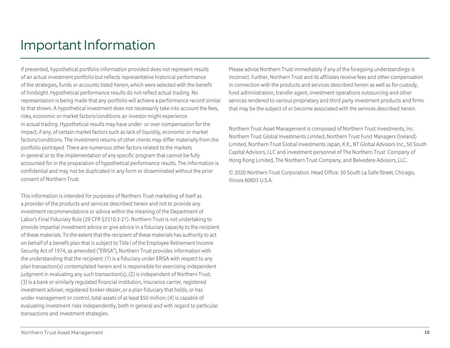### Important Information

If presented, hypothetical portfolio information provided does not represent results of an actual investment portfolio but reflects representative historical performance of the strategies, funds or accounts listed herein, which were selected with the benefit of hindsight. Hypothetical performance results do not reflect actual trading. No representation is being made that any portfolio will achieve a performance record similar to that shown. A hypothetical investment does not necessarily take into account the fees, risks, economic or market factors/conditions an investor might experience in actual trading. Hypothetical results may have under- or over-compensation for the impact, if any, of certain market factors such as lack of liquidity, economic or market factors/conditions. The investment returns of other clients may differ materially from the portfolio portrayed. There are numerous other factors related to the markets in general or to the implementation of any specific program that cannot be fully accounted for in the preparation of hypothetical performance results. The information is confidential and may not be duplicated in any form or disseminated without the prior consent of Northern Trust.

This information is intended for purposes of Northern Trust marketing of itself as a provider of the products and services described herein and not to provide any investment recommendations or advice within the meaning of the Department of Labor's Final Fiduciary Rule (29 CFR §2510.3-21). Northern Trust is not undertaking to provide impartial investment advice or give advice in a fiduciary capacity to the recipient of these materials. To the extent that the recipient of these materials has authority to act on behalf of a benefit plan that is subject to Title I of the Employee Retirement Income Security Act of 1974, as amended ("ERISA"), Northern Trust provides information with the understanding that the recipient: (1) is a fiduciary under ERISA with respect to any plan transaction(s) contemplated herein and is responsible for exercising independent judgment in evaluating any such transaction(s); (2) is independent of Northern Trust; (3) is a bank or similarly regulated financial institution, insurance carrier, registered investment adviser, registered broker-dealer, or a plan fiduciary that holds, or has under management or control, total assets of at least \$50 million; (4) is capable of evaluating investment risks independently, both in general and with regard to particular transactions and investment strategies.

Please advise Northern Trust immediately if any of the foregoing understandings is incorrect. Further, Northern Trust and its affiliates receive fees and other compensation in connection with the products and services described herein as well as for custody, fund administration, transfer agent, investment operations outsourcing and other services rendered to various proprietary and third party investment products and firms that may be the subject of or become associated with the services described herein.

Northern Trust Asset Management is composed of Northern Trust Investments, Inc. Northern Trust Global Investments Limited, Northern Trust Fund Managers (Ireland) Limited, Northern Trust Global Investments Japan, K.K., NT Global Advisors Inc., 50 South Capital Advisors, LLC and investment personnel of The Northern Trust Company of Hong Kong Limited, The Northern Trust Company, and Belvedere Advisors, LLC.

© 2020 Northern Trust Corporation. Head Office: 50 South La Salle Street, Chicago, Illinois 60603 U.S.A.